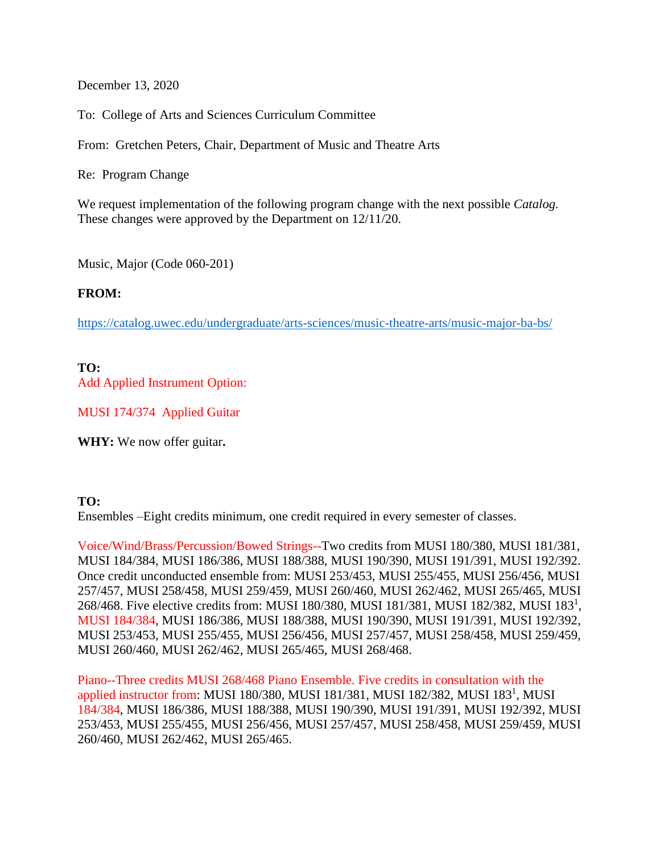December 13, 2020

To: College of Arts and Sciences Curriculum Committee

From: Gretchen Peters, Chair, Department of Music and Theatre Arts

Re: Program Change

We request implementation of the following program change with the next possible *Catalog.* These changes were approved by the Department on 12/11/20.

Music, Major (Code 060-201)

## **FROM:**

<https://catalog.uwec.edu/undergraduate/arts-sciences/music-theatre-arts/music-major-ba-bs/>

## **TO:**

Add Applied Instrument Option:

MUSI 174/374 Applied Guitar

**WHY:** We now offer guitar**.**

## **TO:**

Ensembles –Eight credits minimum, one credit required in every semester of classes.

Voice/Wind/Brass/Percussion/Bowed Strings--Two credits from MUSI 180/380, MUSI 181/381, MUSI 184/384, MUSI 186/386, MUSI 188/388, MUSI 190/390, MUSI 191/391, MUSI 192/392. Once credit unconducted ensemble from: MUSI 253/453, MUSI 255/455, MUSI 256/456, MUSI 257/457, MUSI 258/458, MUSI 259/459, MUSI 260/460, MUSI 262/462, MUSI 265/465, MUSI 268/468. Five elective credits from: MUSI 180/380, MUSI 181/381, MUSI 182/382, MUSI 183<sup>1</sup> , MUSI 184/384, MUSI 186/386, MUSI 188/388, MUSI 190/390, MUSI 191/391, MUSI 192/392, MUSI 253/453, MUSI 255/455, MUSI 256/456, MUSI 257/457, MUSI 258/458, MUSI 259/459, MUSI 260/460, MUSI 262/462, MUSI 265/465, MUSI 268/468.

Piano--Three credits MUSI 268/468 Piano Ensemble. Five credits in consultation with the applied instructor from: MUSI 180/380, MUSI 181/381, MUSI 182/382, MUSI 183<sup>1</sup>, MUSI 184/384, MUSI 186/386, MUSI 188/388, MUSI 190/390, MUSI 191/391, MUSI 192/392, MUSI 253/453, MUSI 255/455, MUSI 256/456, MUSI 257/457, MUSI 258/458, MUSI 259/459, MUSI 260/460, MUSI 262/462, MUSI 265/465.